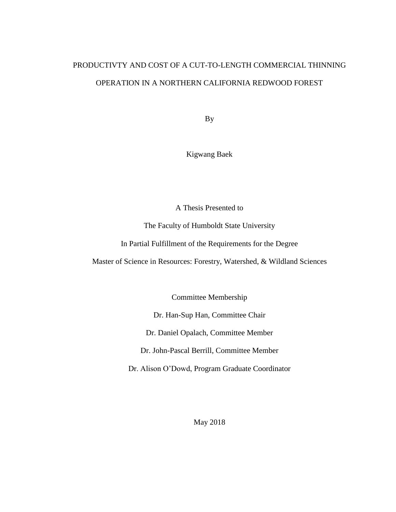# PRODUCTIVTY AND COST OF A CUT-TO-LENGTH COMMERCIAL THINNING OPERATION IN A NORTHERN CALIFORNIA REDWOOD FOREST

By

Kigwang Baek

A Thesis Presented to

The Faculty of Humboldt State University

In Partial Fulfillment of the Requirements for the Degree

Master of Science in Resources: Forestry, Watershed, & Wildland Sciences

Committee Membership

Dr. Han-Sup Han, Committee Chair

Dr. Daniel Opalach, Committee Member

Dr. John-Pascal Berrill, Committee Member

Dr. Alison O'Dowd, Program Graduate Coordinator

May 2018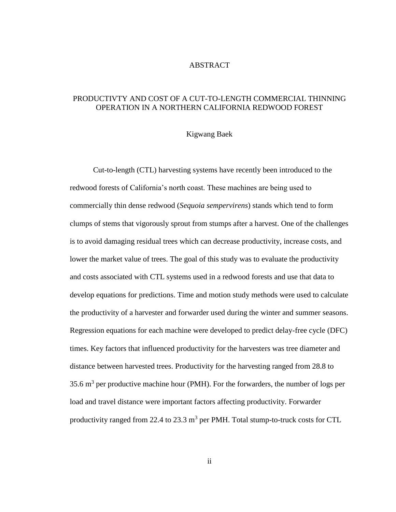## ABSTRACT

# <span id="page-1-0"></span>PRODUCTIVTY AND COST OF A CUT-TO-LENGTH COMMERCIAL THINNING OPERATION IN A NORTHERN CALIFORNIA REDWOOD FOREST

#### Kigwang Baek

Cut-to-length (CTL) harvesting systems have recently been introduced to the redwood forests of California's north coast. These machines are being used to commercially thin dense redwood (*Sequoia sempervirens*) stands which tend to form clumps of stems that vigorously sprout from stumps after a harvest. One of the challenges is to avoid damaging residual trees which can decrease productivity, increase costs, and lower the market value of trees. The goal of this study was to evaluate the productivity and costs associated with CTL systems used in a redwood forests and use that data to develop equations for predictions. Time and motion study methods were used to calculate the productivity of a harvester and forwarder used during the winter and summer seasons. Regression equations for each machine were developed to predict delay-free cycle (DFC) times. Key factors that influenced productivity for the harvesters was tree diameter and distance between harvested trees. Productivity for the harvesting ranged from 28.8 to 35.6  $m<sup>3</sup>$  per productive machine hour (PMH). For the forwarders, the number of logs per load and travel distance were important factors affecting productivity. Forwarder productivity ranged from 22.4 to 23.3  $m<sup>3</sup>$  per PMH. Total stump-to-truck costs for CTL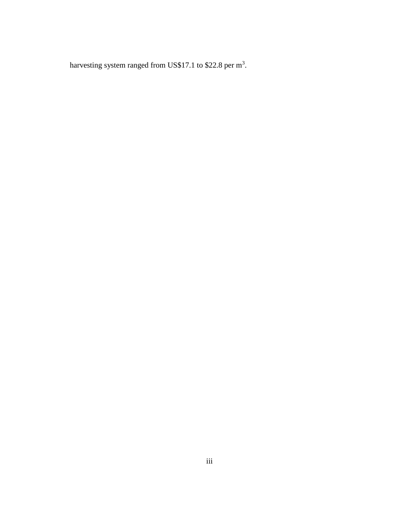harvesting system ranged from US\$17.1 to \$22.8 per  $m^3$ .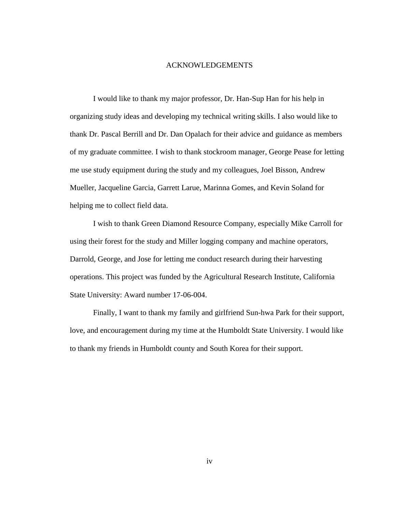#### ACKNOWLEDGEMENTS

<span id="page-3-0"></span>I would like to thank my major professor, Dr. Han-Sup Han for his help in organizing study ideas and developing my technical writing skills. I also would like to thank Dr. Pascal Berrill and Dr. Dan Opalach for their advice and guidance as members of my graduate committee. I wish to thank stockroom manager, George Pease for letting me use study equipment during the study and my colleagues, Joel Bisson, Andrew Mueller, Jacqueline Garcia, Garrett Larue, Marinna Gomes, and Kevin Soland for helping me to collect field data.

I wish to thank Green Diamond Resource Company, especially Mike Carroll for using their forest for the study and Miller logging company and machine operators, Darrold, George, and Jose for letting me conduct research during their harvesting operations. This project was funded by the Agricultural Research Institute, California State University: Award number 17-06-004.

Finally, I want to thank my family and girlfriend Sun-hwa Park for their support, love, and encouragement during my time at the Humboldt State University. I would like to thank my friends in Humboldt county and South Korea for their support.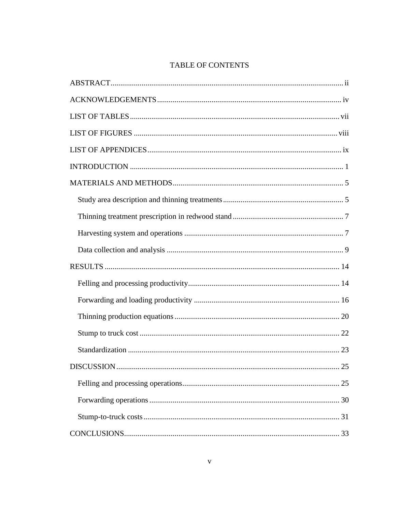# TABLE OF CONTENTS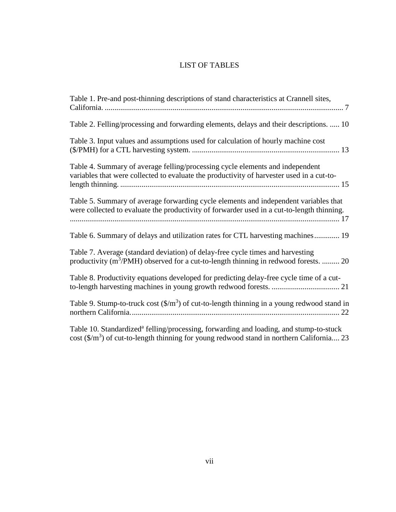# LIST OF TABLES

<span id="page-6-0"></span>

| Table 1. Pre-and post-thinning descriptions of stand characteristics at Crannell sites,                                                                                            |
|------------------------------------------------------------------------------------------------------------------------------------------------------------------------------------|
| Table 2. Felling/processing and forwarding elements, delays and their descriptions.  10                                                                                            |
| Table 3. Input values and assumptions used for calculation of hourly machine cost                                                                                                  |
| Table 4. Summary of average felling/processing cycle elements and independent<br>variables that were collected to evaluate the productivity of harvester used in a cut-to-         |
| Table 5. Summary of average forwarding cycle elements and independent variables that<br>were collected to evaluate the productivity of forwarder used in a cut-to-length thinning. |
| Table 6. Summary of delays and utilization rates for CTL harvesting machines 19                                                                                                    |
| Table 7. Average (standard deviation) of delay-free cycle times and harvesting<br>productivity $(m^3/PMH)$ observed for a cut-to-length thinning in redwood forests.  20           |
| Table 8. Productivity equations developed for predicting delay-free cycle time of a cut-                                                                                           |
| Table 9. Stump-to-truck cost $(\frac{m^3}{2})$ of cut-to-length thinning in a young redwood stand in                                                                               |
| Total 10 Storehousling de folling lange agains formerating and loading and strump to study                                                                                         |

Table 10. Standardized<sup>a</sup> felling/processing, forwarding and loading, and stump-to-stuck cost  $(\frac{2}{m^3})$  of cut-to-length thinning for young redwood stand in northern California.... 23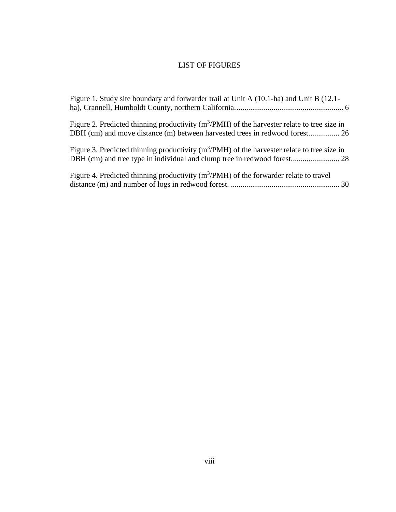# LIST OF FIGURES

<span id="page-7-0"></span>

| Figure 1. Study site boundary and forwarder trail at Unit A (10.1-ha) and Unit B (12.1-         |  |
|-------------------------------------------------------------------------------------------------|--|
| Figure 2. Predicted thinning productivity ( $m^3$ /PMH) of the harvester relate to tree size in |  |
| Figure 3. Predicted thinning productivity ( $m^3$ /PMH) of the harvester relate to tree size in |  |
| Figure 4. Predicted thinning productivity $(m^3/PMH)$ of the forwarder relate to travel         |  |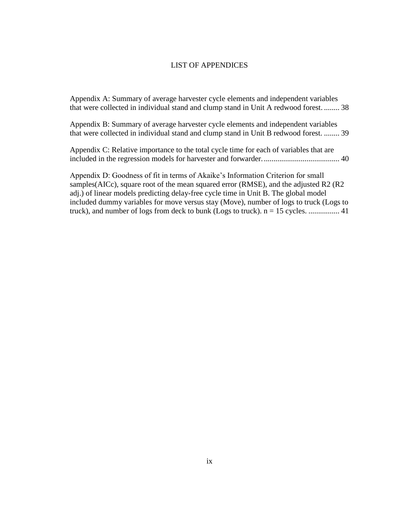#### LIST OF APPENDICES

<span id="page-8-0"></span>[Appendix A: Summary of average harvester cycle](#page-46-1) elements and independent variables [that were collected in individual stand and clump stand in Unit A redwood forest.](#page-46-1) ........ 38

Appendix [B: Summary of average harvester cycle elements and independent variables](#page-47-1)  [that were collected in individual stand and clump stand in Unit B redwood forest.](#page-47-1) ........ 39

[Appendix C: Relative importance to the total cycle time for each of variables that are](#page-48-1)  [included in the regression models for harvester and forwarder........................................](#page-48-1) 40

[Appendix D: Goodness of fit in terms of Akaike's Information Criterion for small](#page-49-1)  [samples\(AICc\), square root of the mean squared error \(RMSE\), and the adjusted R2 \(R2](#page-49-1)  [adj.\) of linear models predicting delay-free cycle time in Unit B. The global model](#page-49-1)  [included dummy variables for move versus stay \(Move\), number of logs to truck \(Logs to](#page-49-1)  [truck\), and number of logs from deck to bunk \(Logs to truck\). n = 15 cycles.](#page-49-1) ................ 41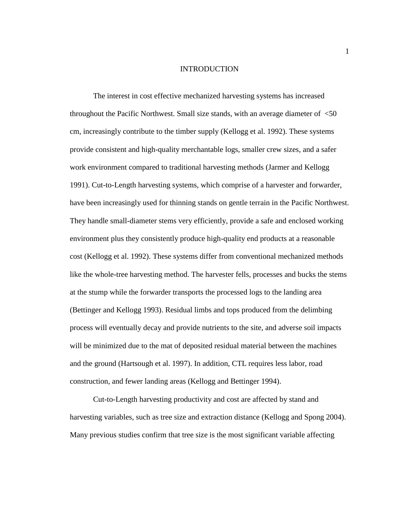#### INTRODUCTION

<span id="page-9-0"></span>The interest in cost effective mechanized harvesting systems has increased throughout the Pacific Northwest. Small size stands, with an average diameter of <50 cm, increasingly contribute to the timber supply (Kellogg et al. 1992). These systems provide consistent and high-quality merchantable logs, smaller crew sizes, and a safer work environment compared to traditional harvesting methods (Jarmer and Kellogg 1991). Cut-to-Length harvesting systems, which comprise of a harvester and forwarder, have been increasingly used for thinning stands on gentle terrain in the Pacific Northwest. They handle small-diameter stems very efficiently, provide a safe and enclosed working environment plus they consistently produce high-quality end products at a reasonable cost (Kellogg et al. 1992). These systems differ from conventional mechanized methods like the whole-tree harvesting method. The harvester fells, processes and bucks the stems at the stump while the forwarder transports the processed logs to the landing area (Bettinger and Kellogg 1993). Residual limbs and tops produced from the delimbing process will eventually decay and provide nutrients to the site, and adverse soil impacts will be minimized due to the mat of deposited residual material between the machines and the ground (Hartsough et al. 1997). In addition, CTL requires less labor, road construction, and fewer landing areas (Kellogg and Bettinger 1994).

Cut-to-Length harvesting productivity and cost are affected by stand and harvesting variables, such as tree size and extraction distance (Kellogg and Spong 2004). Many previous studies confirm that tree size is the most significant variable affecting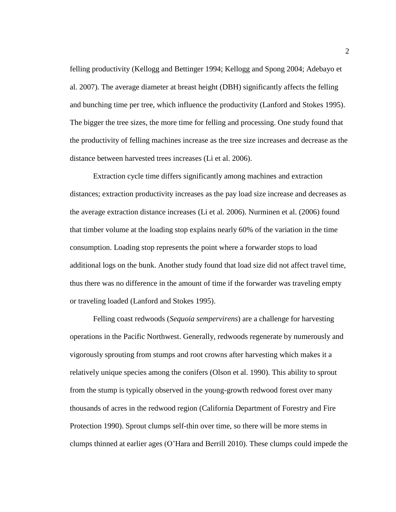felling productivity (Kellogg and Bettinger 1994; Kellogg and Spong 2004; Adebayo et al. 2007). The average diameter at breast height (DBH) significantly affects the felling and bunching time per tree, which influence the productivity (Lanford and Stokes 1995). The bigger the tree sizes, the more time for felling and processing. One study found that the productivity of felling machines increase as the tree size increases and decrease as the distance between harvested trees increases (Li et al. 2006).

Extraction cycle time differs significantly among machines and extraction distances; extraction productivity increases as the pay load size increase and decreases as the average extraction distance increases (Li et al. 2006). Nurminen et al. (2006) found that timber volume at the loading stop explains nearly 60% of the variation in the time consumption. Loading stop represents the point where a forwarder stops to load additional logs on the bunk. Another study found that load size did not affect travel time, thus there was no difference in the amount of time if the forwarder was traveling empty or traveling loaded (Lanford and Stokes 1995).

Felling coast redwoods (*Sequoia sempervirens*) are a challenge for harvesting operations in the Pacific Northwest. Generally, redwoods regenerate by numerously and vigorously sprouting from stumps and root crowns after harvesting which makes it a relatively unique species among the conifers (Olson et al. 1990). This ability to sprout from the stump is typically observed in the young-growth redwood forest over many thousands of acres in the redwood region (California Department of Forestry and Fire Protection 1990). Sprout clumps self-thin over time, so there will be more stems in clumps thinned at earlier ages (O'Hara and Berrill 2010). These clumps could impede the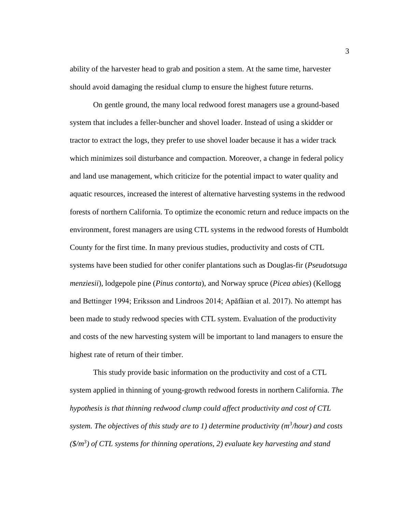ability of the harvester head to grab and position a stem. At the same time, harvester should avoid damaging the residual clump to ensure the highest future returns.

On gentle ground, the many local redwood forest managers use a ground-based system that includes a feller-buncher and shovel loader. Instead of using a skidder or tractor to extract the logs, they prefer to use shovel loader because it has a wider track which minimizes soil disturbance and compaction. Moreover, a change in federal policy and land use management, which criticize for the potential impact to water quality and aquatic resources, increased the interest of alternative harvesting systems in the redwood forests of northern California. To optimize the economic return and reduce impacts on the environment, forest managers are using CTL systems in the redwood forests of Humboldt County for the first time. In many previous studies, productivity and costs of CTL systems have been studied for other conifer plantations such as Douglas-fir (*Pseudotsuga menziesii*), lodgepole pine (*Pinus contorta*), and Norway spruce (*Picea abies*) (Kellogg and Bettinger 1994; Eriksson and Lindroos 2014; Apăfăian et al. 2017). No attempt has been made to study redwood species with CTL system. Evaluation of the productivity and costs of the new harvesting system will be important to land managers to ensure the highest rate of return of their timber.

This study provide basic information on the productivity and cost of a CTL system applied in thinning of young-growth redwood forests in northern California. *The hypothesis is that thinning redwood clump could affect productivity and cost of CTL system. The objectives of this study are to 1) determine productivity (m<sup>3</sup>/hour) and costs (\$/m<sup>3</sup> ) of CTL systems for thinning operations, 2) evaluate key harvesting and stand*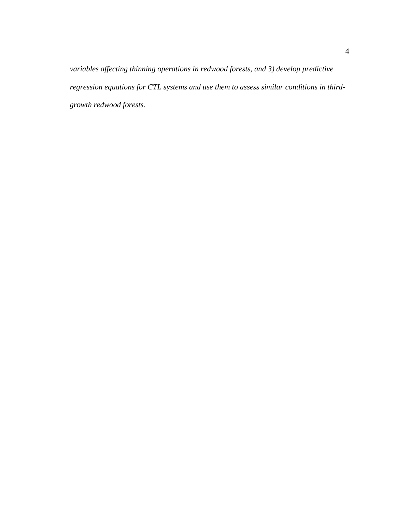*variables affecting thinning operations in redwood forests, and 3) develop predictive regression equations for CTL systems and use them to assess similar conditions in thirdgrowth redwood forests.*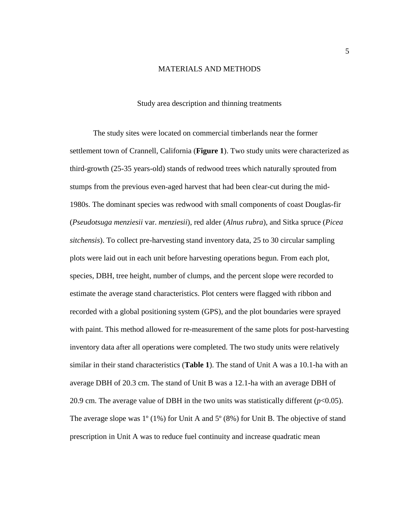## MATERIALS AND METHODS

#### Study area description and thinning treatments

<span id="page-13-1"></span><span id="page-13-0"></span>The study sites were located on commercial timberlands near the former settlement town of Crannell, California (**[Figure 1](#page-14-0)**). Two study units were characterized as third-growth (25-35 years-old) stands of redwood trees which naturally sprouted from stumps from the previous even-aged harvest that had been clear-cut during the mid-1980s. The dominant species was redwood with small components of coast Douglas-fir (*Pseudotsuga menziesii* var. *menziesii*), red alder (*Alnus rubra*), and Sitka spruce (*Picea sitchensis*). To collect pre-harvesting stand inventory data, 25 to 30 circular sampling plots were laid out in each unit before harvesting operations begun. From each plot, species, DBH, tree height, number of clumps, and the percent slope were recorded to estimate the average stand characteristics. Plot centers were flagged with ribbon and recorded with a global positioning system (GPS), and the plot boundaries were sprayed with paint. This method allowed for re-measurement of the same plots for post-harvesting inventory data after all operations were completed. The two study units were relatively similar in their stand characteristics (**[Table 1](#page-15-2)**). The stand of Unit A was a 10.1-ha with an average DBH of 20.3 cm. The stand of Unit B was a 12.1-ha with an average DBH of 20.9 cm. The average value of DBH in the two units was statistically different  $(p<0.05)$ . The average slope was  $1^{\circ}$  (1%) for Unit A and  $5^{\circ}$  (8%) for Unit B. The objective of stand prescription in Unit A was to reduce fuel continuity and increase quadratic mean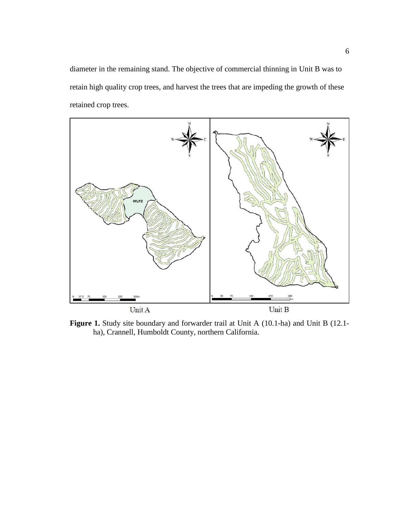diameter in the remaining stand. The objective of commercial thinning in Unit B was to retain high quality crop trees, and harvest the trees that are impeding the growth of these retained crop trees.



<span id="page-14-0"></span>Figure 1. Study site boundary and forwarder trail at Unit A (10.1-ha) and Unit B (12.1ha), Crannell, Humboldt County, northern California.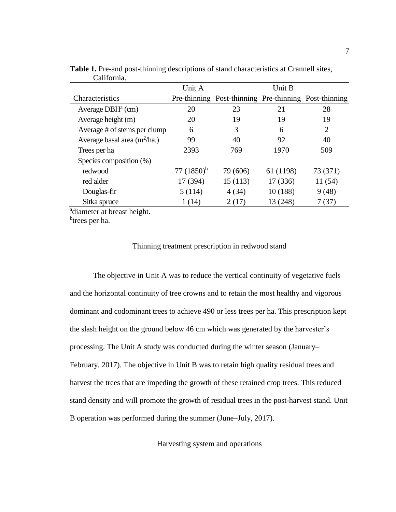|                                | Unit A          |                                                       | Unit B    |                |
|--------------------------------|-----------------|-------------------------------------------------------|-----------|----------------|
| Characteristics                |                 | Pre-thinning Post-thinning Pre-thinning Post-thinning |           |                |
| Average $DBHa$ (cm)            | 20              | 23                                                    | 21        | 28             |
| Average height (m)             | 20              | 19                                                    | 19        | 19             |
| Average # of stems per clump   | 6               | 3                                                     | 6         | $\overline{2}$ |
| Average basal area $(m^2/ha.)$ | 99              | 40                                                    | 92        | 40             |
| Trees per ha                   | 2393            | 769                                                   | 1970      | 509            |
| Species composition (%)        |                 |                                                       |           |                |
| redwood                        | 77 $(1850)^{b}$ | 79 (606)                                              | 61 (1198) | 73 (371)       |
| red alder                      | 17 (394)        | 15(113)                                               | 17 (336)  | 11 (54)        |
| Douglas-fir                    | 5(114)          | 4(34)                                                 | 10(188)   | 9(48)          |
| Sitka spruce                   | 1(14)           | 2(17)                                                 | 13 (248)  | 7 (37)         |

<span id="page-15-2"></span>**Table 1.** Pre-and post-thinning descriptions of stand characteristics at Crannell sites, California.

<sup>a</sup>diameter at breast height.

<span id="page-15-0"></span><sup>b</sup>trees per ha.

# Thinning treatment prescription in redwood stand

The objective in Unit A was to reduce the vertical continuity of vegetative fuels and the horizontal continuity of tree crowns and to retain the most healthy and vigorous dominant and codominant trees to achieve 490 or less trees per ha. This prescription kept the slash height on the ground below 46 cm which was generated by the harvester's processing. The Unit A study was conducted during the winter season (January– February, 2017). The objective in Unit B was to retain high quality residual trees and harvest the trees that are impeding the growth of these retained crop trees. This reduced stand density and will promote the growth of residual trees in the post-harvest stand. Unit B operation was performed during the summer (June–July, 2017).

<span id="page-15-1"></span>Harvesting system and operations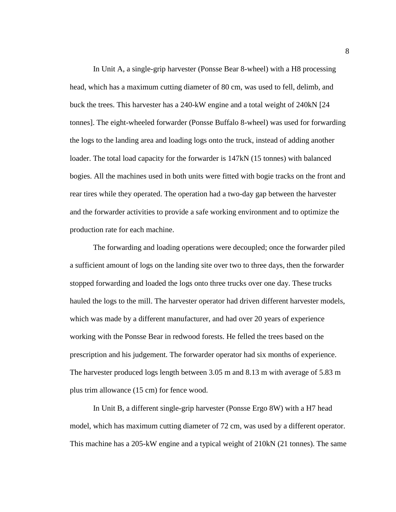In Unit A, a single-grip harvester (Ponsse Bear 8-wheel) with a H8 processing head, which has a maximum cutting diameter of 80 cm, was used to fell, delimb, and buck the trees. This harvester has a 240-kW engine and a total weight of 240kN [24 tonnes]. The eight-wheeled forwarder (Ponsse Buffalo 8-wheel) was used for forwarding the logs to the landing area and loading logs onto the truck, instead of adding another loader. The total load capacity for the forwarder is 147kN (15 tonnes) with balanced bogies. All the machines used in both units were fitted with bogie tracks on the front and rear tires while they operated. The operation had a two-day gap between the harvester and the forwarder activities to provide a safe working environment and to optimize the production rate for each machine.

The forwarding and loading operations were decoupled; once the forwarder piled a sufficient amount of logs on the landing site over two to three days, then the forwarder stopped forwarding and loaded the logs onto three trucks over one day. These trucks hauled the logs to the mill. The harvester operator had driven different harvester models, which was made by a different manufacturer, and had over 20 years of experience working with the Ponsse Bear in redwood forests. He felled the trees based on the prescription and his judgement. The forwarder operator had six months of experience. The harvester produced logs length between 3.05 m and 8.13 m with average of 5.83 m plus trim allowance (15 cm) for fence wood.

In Unit B, a different single-grip harvester (Ponsse Ergo 8W) with a H7 head model, which has maximum cutting diameter of 72 cm, was used by a different operator. This machine has a 205-kW engine and a typical weight of 210kN (21 tonnes). The same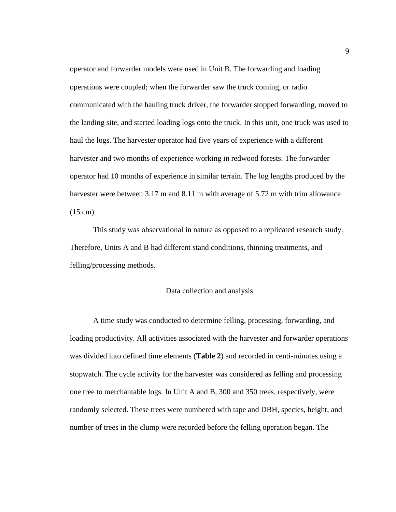operator and forwarder models were used in Unit B. The forwarding and loading operations were coupled; when the forwarder saw the truck coming, or radio communicated with the hauling truck driver, the forwarder stopped forwarding, moved to the landing site, and started loading logs onto the truck. In this unit, one truck was used to haul the logs. The harvester operator had five years of experience with a different harvester and two months of experience working in redwood forests. The forwarder operator had 10 months of experience in similar terrain. The log lengths produced by the harvester were between 3.17 m and 8.11 m with average of 5.72 m with trim allowance (15 cm).

This study was observational in nature as opposed to a replicated research study. Therefore, Units A and B had different stand conditions, thinning treatments, and felling/processing methods.

# Data collection and analysis

<span id="page-17-0"></span>A time study was conducted to determine felling, processing, forwarding, and loading productivity. All activities associated with the harvester and forwarder operations was divided into defined time elements (**[Table 2](#page-18-0)**) and recorded in centi-minutes using a stopwatch. The cycle activity for the harvester was considered as felling and processing one tree to merchantable logs. In Unit A and B, 300 and 350 trees, respectively, were randomly selected. These trees were numbered with tape and DBH, species, height, and number of trees in the clump were recorded before the felling operation began. The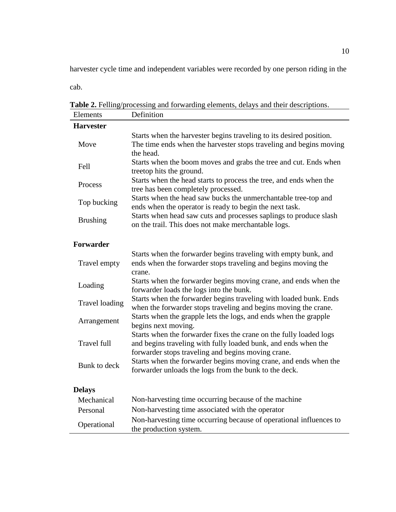harvester cycle time and independent variables were recorded by one person riding in the

cab.

<span id="page-18-0"></span>**Table 2.** Felling/processing and forwarding elements, delays and their descriptions.

| Elements              | Definition                                                                                                                                                                                 |
|-----------------------|--------------------------------------------------------------------------------------------------------------------------------------------------------------------------------------------|
| <b>Harvester</b>      |                                                                                                                                                                                            |
| Move                  | Starts when the harvester begins traveling to its desired position.<br>The time ends when the harvester stops traveling and begins moving<br>the head.                                     |
| Fell                  | Starts when the boom moves and grabs the tree and cut. Ends when<br>treetop hits the ground.                                                                                               |
| Process               | Starts when the head starts to process the tree, and ends when the<br>tree has been completely processed.                                                                                  |
| Top bucking           | Starts when the head saw bucks the unmerchantable tree-top and<br>ends when the operator is ready to begin the next task.                                                                  |
| <b>Brushing</b>       | Starts when head saw cuts and processes saplings to produce slash<br>on the trail. This does not make merchantable logs.                                                                   |
| <b>Forwarder</b>      |                                                                                                                                                                                            |
| Travel empty          | Starts when the forwarder begins traveling with empty bunk, and<br>ends when the forwarder stops traveling and begins moving the<br>crane.                                                 |
| Loading               | Starts when the forwarder begins moving crane, and ends when the<br>forwarder loads the logs into the bunk.                                                                                |
| <b>Travel loading</b> | Starts when the forwarder begins traveling with loaded bunk. Ends<br>when the forwarder stops traveling and begins moving the crane.                                                       |
| Arrangement           | Starts when the grapple lets the logs, and ends when the grapple<br>begins next moving.                                                                                                    |
| Travel full           | Starts when the forwarder fixes the crane on the fully loaded logs<br>and begins traveling with fully loaded bunk, and ends when the<br>forwarder stops traveling and begins moving crane. |
| Bunk to deck          | Starts when the forwarder begins moving crane, and ends when the<br>forwarder unloads the logs from the bunk to the deck.                                                                  |
| <b>Delays</b>         |                                                                                                                                                                                            |
| Mechanical            | Non-harvesting time occurring because of the machine                                                                                                                                       |
| Personal              | Non-harvesting time associated with the operator                                                                                                                                           |
| Operational           | Non-harvesting time occurring because of operational influences to<br>the production system.                                                                                               |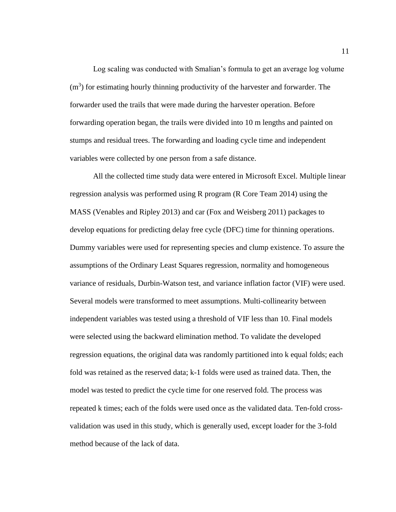Log scaling was conducted with Smalian's formula to get an average log volume  $(m<sup>3</sup>)$  for estimating hourly thinning productivity of the harvester and forwarder. The forwarder used the trails that were made during the harvester operation. Before forwarding operation began, the trails were divided into 10 m lengths and painted on stumps and residual trees. The forwarding and loading cycle time and independent variables were collected by one person from a safe distance.

All the collected time study data were entered in Microsoft Excel. Multiple linear regression analysis was performed using R program (R Core Team 2014) using the MASS (Venables and Ripley 2013) and car (Fox and Weisberg 2011) packages to develop equations for predicting delay free cycle (DFC) time for thinning operations. Dummy variables were used for representing species and clump existence. To assure the assumptions of the Ordinary Least Squares regression, normality and homogeneous variance of residuals, Durbin-Watson test, and variance inflation factor (VIF) were used. Several models were transformed to meet assumptions. Multi-collinearity between independent variables was tested using a threshold of VIF less than 10. Final models were selected using the backward elimination method. To validate the developed regression equations, the original data was randomly partitioned into k equal folds; each fold was retained as the reserved data; k-1 folds were used as trained data. Then, the model was tested to predict the cycle time for one reserved fold. The process was repeated k times; each of the folds were used once as the validated data. Ten-fold crossvalidation was used in this study, which is generally used, except loader for the 3-fold method because of the lack of data.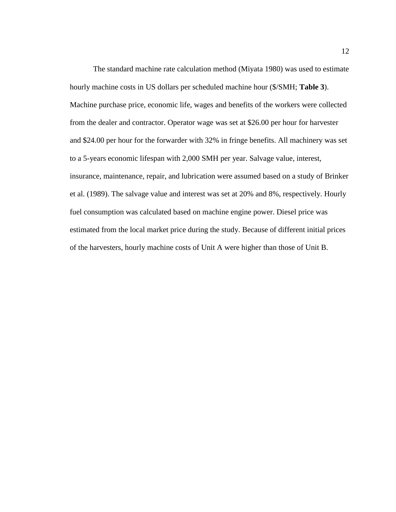The standard machine rate calculation method (Miyata 1980) was used to estimate hourly machine costs in US dollars per scheduled machine hour (\$/SMH; **[Table 3](#page-21-0)**). Machine purchase price, economic life, wages and benefits of the workers were collected from the dealer and contractor. Operator wage was set at \$26.00 per hour for harvester and \$24.00 per hour for the forwarder with 32% in fringe benefits. All machinery was set to a 5-years economic lifespan with 2,000 SMH per year. Salvage value, interest, insurance, maintenance, repair, and lubrication were assumed based on a study of Brinker et al. (1989). The salvage value and interest was set at 20% and 8%, respectively. Hourly fuel consumption was calculated based on machine engine power. Diesel price was estimated from the local market price during the study. Because of different initial prices of the harvesters, hourly machine costs of Unit A were higher than those of Unit B.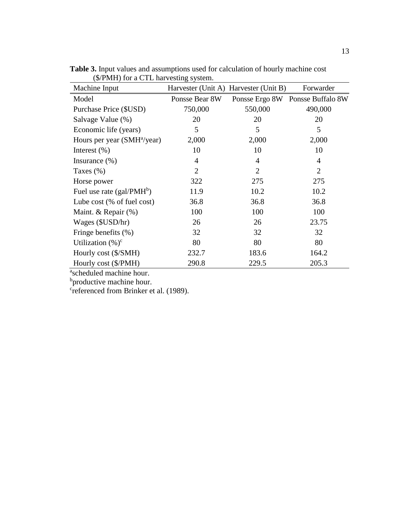| $(\phi/FNIT)$ for a $\cup$ i $\bot$ harvesting system. |                |                                       |                                  |
|--------------------------------------------------------|----------------|---------------------------------------|----------------------------------|
| Machine Input                                          |                | Harvester (Unit A) Harvester (Unit B) | Forwarder                        |
| Model                                                  | Ponsse Bear 8W |                                       | Ponsse Ergo 8W Ponsse Buffalo 8W |
| Purchase Price (\$USD)                                 | 750,000        | 550,000                               | 490,000                          |
| Salvage Value (%)                                      | 20             | 20                                    | 20                               |
| Economic life (years)                                  | 5              | 5                                     | 5                                |
| Hours per year (SMH <sup>a</sup> /year)                | 2,000          | 2,000                                 | 2,000                            |
| Interest $(\% )$                                       | 10             | 10                                    | 10                               |
| Insurance $(\%)$                                       | $\overline{4}$ | $\overline{4}$                        | 4                                |
| Taxes $(\%)$                                           | $\overline{2}$ | $\overline{2}$                        | $\overline{2}$                   |
| Horse power                                            | 322            | 275                                   | 275                              |
| Fuel use rate $(gal/PMHb)$                             | 11.9           | 10.2                                  | 10.2                             |
| Lube cost (% of fuel cost)                             | 36.8           | 36.8                                  | 36.8                             |
| Maint. & Repair $(\%)$                                 | 100            | 100                                   | 100                              |
| Wages (\$USD/hr)                                       | 26             | 26                                    | 23.75                            |
| Fringe benefits (%)                                    | 32             | 32                                    | 32                               |
| Utilization $(\% )^c$                                  | 80             | 80                                    | 80                               |
| Hourly cost (\$/SMH)                                   | 232.7          | 183.6                                 | 164.2                            |
| Hourly cost (\$/PMH)                                   | 290.8          | 229.5                                 | 205.3                            |

<span id="page-21-0"></span>**Table 3.** Input values and assumptions used for calculation of hourly machine cost (\$/PMH) for a CTL harvesting system.  $\overline{a}$ 

a scheduled machine hour.

<sup>b</sup>productive machine hour.

c referenced from Brinker et al. (1989).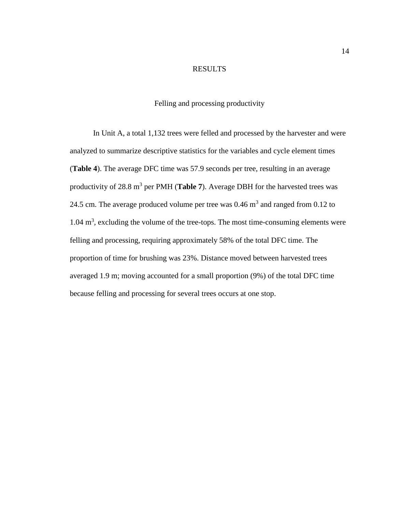# RESULTS

# Felling and processing productivity

<span id="page-22-1"></span><span id="page-22-0"></span>In Unit A, a total 1,132 trees were felled and processed by the harvester and were analyzed to summarize descriptive statistics for the variables and cycle element times (**[Table 4](#page-23-0)**). The average DFC time was 57.9 seconds per tree, resulting in an average productivity of 28.8 m<sup>3</sup> per PMH ([Table 7](#page-28-1)). Average DBH for the harvested trees was 24.5 cm. The average produced volume per tree was  $0.46 \text{ m}^3$  and ranged from  $0.12$  to  $1.04 \text{ m}^3$ , excluding the volume of the tree-tops. The most time-consuming elements were felling and processing, requiring approximately 58% of the total DFC time. The proportion of time for brushing was 23%. Distance moved between harvested trees averaged 1.9 m; moving accounted for a small proportion (9%) of the total DFC time because felling and processing for several trees occurs at one stop.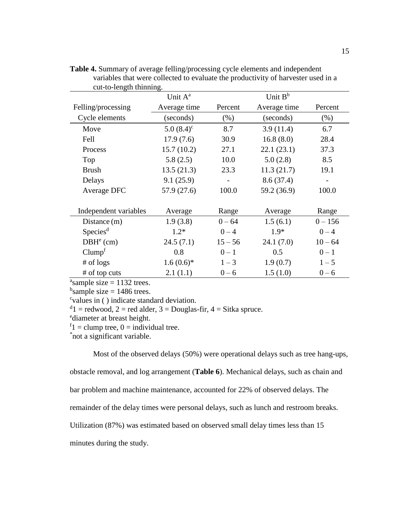|                       | Unit $A^a$   | Unit $B^b$ |              |           |  |
|-----------------------|--------------|------------|--------------|-----------|--|
| Felling/processing    | Average time | Percent    | Average time | Percent   |  |
| Cycle elements        | (seconds)    | (% )       | (seconds)    | $(\%)$    |  |
| Move                  | $5.0(8.4)^c$ | 8.7        | 3.9(11.4)    | 6.7       |  |
| Fell                  | 17.9(7.6)    | 30.9       | 16.8(8.0)    | 28.4      |  |
| Process               | 15.7(10.2)   | 27.1       | 22.1(23.1)   | 37.3      |  |
| Top                   | 5.8(2.5)     | 10.0       | 5.0(2.8)     | 8.5       |  |
| <b>Brush</b>          | 13.5(21.3)   | 23.3       | 11.3(21.7)   | 19.1      |  |
| Delays                | 9.1(25.9)    |            | 8.6(37.4)    |           |  |
| Average DFC           | 57.9 (27.6)  | 100.0      | 59.2 (36.9)  | 100.0     |  |
|                       |              |            |              |           |  |
| Independent variables | Average      | Range      | Average      | Range     |  |
| Distance $(m)$        | 1.9(3.8)     | $0 - 64$   | 1.5(6.1)     | $0 - 156$ |  |
| Species <sup>d</sup>  | $1.2*$       | $0 - 4$    | $1.9*$       | $0 - 4$   |  |
| $DBHe$ (cm)           | 24.5(7.1)    | $15 - 56$  | 24.1(7.0)    | $10 - 64$ |  |
| Clump <sup>f</sup>    | 0.8          | $0 - 1$    | 0.5          | $0 - 1$   |  |
| $#$ of logs           | $1.6(0.6)*$  | $1 - 3$    | 1.9(0.7)     | $1 - 5$   |  |
| # of top cuts         | 2.1(1.1)     | $0 - 6$    | 1.5(1.0)     | $0 - 6$   |  |

<span id="page-23-0"></span>**Table 4.** Summary of average felling/processing cycle elements and independent variables that were collected to evaluate the productivity of harvester used in a cut-to-length thinning.

<sup>a</sup>sample size =  $1132$  trees.

<sup>b</sup>sample size = 1486 trees.

c values in ( ) indicate standard deviation.

 $d_1$  = redwood, 2 = red alder, 3 = Douglas-fir, 4 = Sitka spruce.

<sup>e</sup>diameter at breast height.

 $f_1$  = clump tree, 0 = individual tree.

\* not a significant variable.

Most of the observed delays (50%) were operational delays such as tree hang-ups,

obstacle removal, and log arrangement (**[Table 6](#page-27-0)**). Mechanical delays, such as chain and

bar problem and machine maintenance, accounted for 22% of observed delays. The

remainder of the delay times were personal delays, such as lunch and restroom breaks.

Utilization (87%) was estimated based on observed small delay times less than 15

minutes during the study.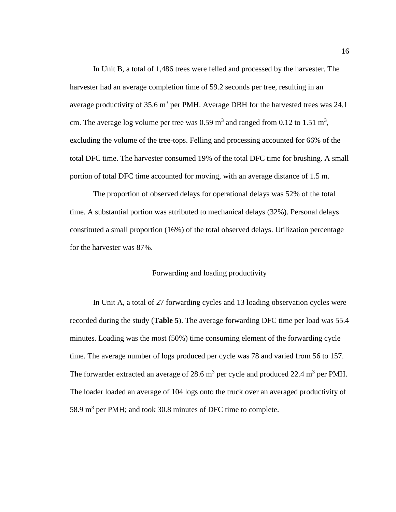In Unit B, a total of 1,486 trees were felled and processed by the harvester. The harvester had an average completion time of 59.2 seconds per tree, resulting in an average productivity of 35.6 m<sup>3</sup> per PMH. Average DBH for the harvested trees was 24.1 cm. The average log volume per tree was  $0.59 \text{ m}^3$  and ranged from  $0.12 \text{ to } 1.51 \text{ m}^3$ , excluding the volume of the tree-tops. Felling and processing accounted for 66% of the total DFC time. The harvester consumed 19% of the total DFC time for brushing. A small portion of total DFC time accounted for moving, with an average distance of 1.5 m.

The proportion of observed delays for operational delays was 52% of the total time. A substantial portion was attributed to mechanical delays (32%). Personal delays constituted a small proportion (16%) of the total observed delays. Utilization percentage for the harvester was 87%.

# Forwarding and loading productivity

<span id="page-24-0"></span>In Unit A, a total of 27 forwarding cycles and 13 loading observation cycles were recorded during the study (**[Table 5](#page-25-0)**). The average forwarding DFC time per load was 55.4 minutes. Loading was the most (50%) time consuming element of the forwarding cycle time. The average number of logs produced per cycle was 78 and varied from 56 to 157. The forwarder extracted an average of 28.6  $m^3$  per cycle and produced 22.4  $m^3$  per PMH. The loader loaded an average of 104 logs onto the truck over an averaged productivity of 58.9  $m<sup>3</sup>$  per PMH; and took 30.8 minutes of DFC time to complete.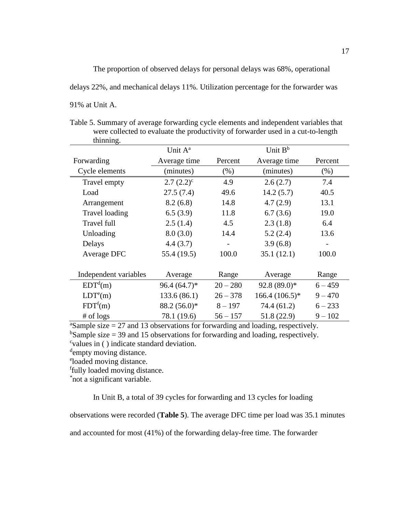The proportion of observed delays for personal delays was 68%, operational delays 22%, and mechanical delays 11%. Utilization percentage for the forwarder was 91% at Unit A.

| thinning.             |                     |                   |                     |                          |
|-----------------------|---------------------|-------------------|---------------------|--------------------------|
|                       | Unit A <sup>a</sup> |                   | Unit B <sup>b</sup> |                          |
| Forwarding            | Average time        | Percent           | Average time        | Percent                  |
| Cycle elements        | (minutes)           | $(\% )$           | (minutes)           | $(\% )$                  |
| Travel empty          | $2.7(2.2)^{c}$      | 4.9               | 2.6(2.7)            | 7.4                      |
| Load                  | 27.5(7.4)           | 49.6              | 14.2(5.7)           | 40.5                     |
| Arrangement           | 8.2(6.8)            | 14.8              | 4.7(2.9)            | 13.1                     |
| Travel loading        | 6.5(3.9)            | 11.8              | 6.7(3.6)            | 19.0                     |
| Travel full           | 2.5(1.4)            | 4.5               | 2.3(1.8)            | 6.4                      |
| Unloading             | 8.0(3.0)            | 14.4              | 5.2(2.4)            | 13.6                     |
| Delays                | 4.4(3.7)            | $\qquad \qquad -$ | 3.9(6.8)            | $\overline{\phantom{0}}$ |
| Average DFC           | 55.4 (19.5)         | 100.0             | 35.1(12.1)          | 100.0                    |
|                       |                     |                   |                     |                          |
| Independent variables | Average             | Range             | Average             | Range                    |
| EDT <sup>d</sup> (m)  | $96.4(64.7)*$       | $20 - 280$        | $92.8(89.0)*$       | $6 - 459$                |
| LDT <sup>e</sup> (m)  | 133.6(86.1)         | $26 - 378$        | $166.4(106.5)*$     | $9 - 470$                |
| FDT <sup>f</sup> (m)  | $88.2(56.0)^*$      | $8 - 197$         | 74.4 (61.2)         | $6 - 233$                |
| $#$ of logs           | 78.1 (19.6)         | $56 - 157$        | 51.8(22.9)          | $9 - 102$                |

<span id="page-25-0"></span>Table 5. Summary of average forwarding cycle elements and independent variables that were collected to evaluate the productivity of forwarder used in a cut-to-length

 $a$ Sample size = 27 and 13 observations for forwarding and loading, respectively.

<sup>b</sup>Sample size = 39 and 15 observations for forwarding and loading, respectively. c values in ( ) indicate standard deviation.

dempty moving distance.

<sup>e</sup>loaded moving distance.

f fully loaded moving distance.

\* not a significant variable.

In Unit B, a total of 39 cycles for forwarding and 13 cycles for loading

observations were recorded (**[Table 5](#page-25-0)**). The average DFC time per load was 35.1 minutes

and accounted for most (41%) of the forwarding delay-free time. The forwarder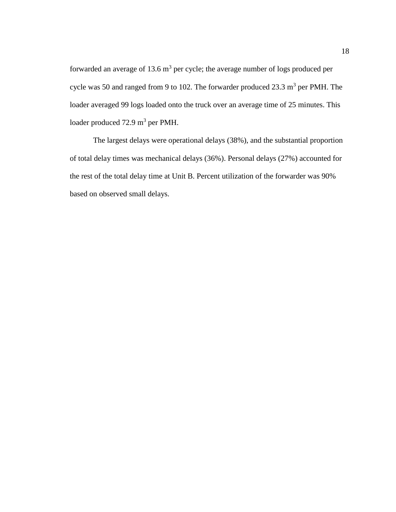forwarded an average of 13.6  $m^3$  per cycle; the average number of logs produced per cycle was 50 and ranged from 9 to 102. The forwarder produced  $23.3 \text{ m}^3$  per PMH. The loader averaged 99 logs loaded onto the truck over an average time of 25 minutes. This loader produced 72.9 m<sup>3</sup> per PMH.

The largest delays were operational delays (38%), and the substantial proportion of total delay times was mechanical delays (36%). Personal delays (27%) accounted for the rest of the total delay time at Unit B. Percent utilization of the forwarder was 90% based on observed small delays.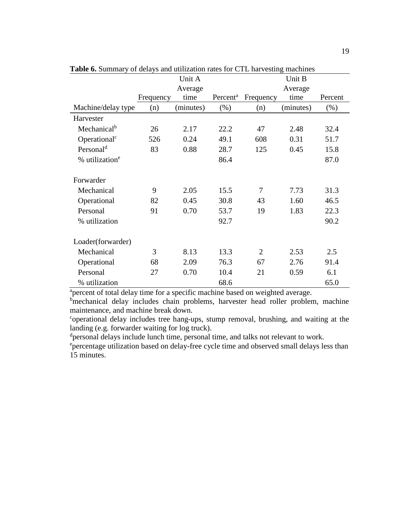|                            |           | Unit A    |                      |                | Unit B    |         |
|----------------------------|-----------|-----------|----------------------|----------------|-----------|---------|
|                            |           | Average   |                      |                | Average   |         |
|                            | Frequency | time      | Percent <sup>a</sup> | Frequency      | time      | Percent |
| Machine/delay type         | (n)       | (minutes) | (% )                 | (n)            | (minutes) | $(\% )$ |
| Harvester                  |           |           |                      |                |           |         |
| Mechanical <sup>b</sup>    | 26        | 2.17      | 22.2                 | 47             | 2.48      | 32.4    |
| Operational <sup>c</sup>   | 526       | 0.24      | 49.1                 | 608            | 0.31      | 51.7    |
| Personal <sup>d</sup>      | 83        | 0.88      | 28.7                 | 125            | 0.45      | 15.8    |
| % utilization <sup>e</sup> |           |           | 86.4                 |                |           | 87.0    |
|                            |           |           |                      |                |           |         |
| Forwarder                  |           |           |                      |                |           |         |
| Mechanical                 | 9         | 2.05      | 15.5                 | 7              | 7.73      | 31.3    |
| Operational                | 82        | 0.45      | 30.8                 | 43             | 1.60      | 46.5    |
| Personal                   | 91        | 0.70      | 53.7                 | 19             | 1.83      | 22.3    |
| % utilization              |           |           | 92.7                 |                |           | 90.2    |
|                            |           |           |                      |                |           |         |
| Loader(forwarder)          |           |           |                      |                |           |         |
| Mechanical                 | 3         | 8.13      | 13.3                 | $\overline{2}$ | 2.53      | 2.5     |
| Operational                | 68        | 2.09      | 76.3                 | 67             | 2.76      | 91.4    |
| Personal                   | 27        | 0.70      | 10.4                 | 21             | 0.59      | 6.1     |
| % utilization              |           |           | 68.6                 |                |           | 65.0    |

<span id="page-27-0"></span>**Table 6.** Summary of delays and utilization rates for CTL harvesting machines

<sup>a</sup>percent of total delay time for a specific machine based on weighted average.

b<sub>mechanical delay includes chain problems, harvester head roller problem, machine</sub> maintenance, and machine break down.

c operational delay includes tree hang-ups, stump removal, brushing, and waiting at the landing (e.g. forwarder waiting for log truck).

dpersonal delays include lunch time, personal time, and talks not relevant to work.

<sup>e</sup> percentage utilization based on delay-free cycle time and observed small delays less than 15 minutes.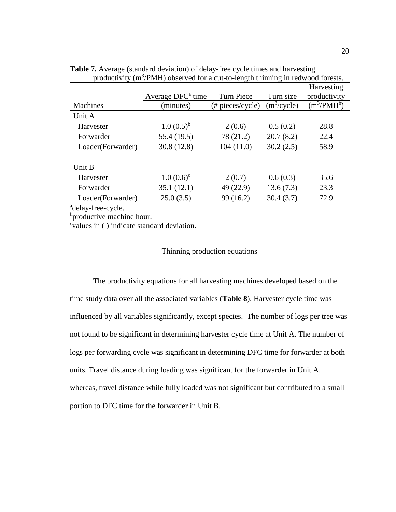|                   |                               |                     |                         | Harvesting    |
|-------------------|-------------------------------|---------------------|-------------------------|---------------|
|                   | Average DFC <sup>a</sup> time | <b>Turn Piece</b>   | Turn size               | productivity  |
| <b>Machines</b>   | (minutes)                     | $(\# pieces/cycle)$ | (m <sup>3</sup> /cycle) | $(m^3/PMH^b)$ |
| Unit A            |                               |                     |                         |               |
| Harvester         | $1.0(0.5)^{b}$                | 2(0.6)              | 0.5(0.2)                | 28.8          |
| Forwarder         | 55.4 (19.5)                   | 78 (21.2)           | 20.7(8.2)               | 22.4          |
| Loader(Forwarder) | 30.8(12.8)                    | 104(11.0)           | 30.2(2.5)               | 58.9          |
| Unit B            |                               |                     |                         |               |
| Harvester         | $1.0 (0.6)^c$                 | 2(0.7)              | 0.6(0.3)                | 35.6          |
| Forwarder         | 35.1(12.1)                    | 49 (22.9)           | 13.6(7.3)               | 23.3          |
| Loader(Forwarder) | 25.0(3.5)                     | 99 (16.2)           | 30.4(3.7)               | 72.9          |

<span id="page-28-1"></span>**Table 7.** Average (standard deviation) of delay-free cycle times and harvesting productivity  $(m^3/PMH)$  observed for a cut-to-length thinning in redwood forests.

adelay-free-cycle.

<sup>b</sup>productive machine hour.

<span id="page-28-0"></span><sup>c</sup>values in () indicate standard deviation.

## Thinning production equations

The productivity equations for all harvesting machines developed based on the time study data over all the associated variables (**[Table 8](#page-29-0)**). Harvester cycle time was influenced by all variables significantly, except species. The number of logs per tree was not found to be significant in determining harvester cycle time at Unit A. The number of logs per forwarding cycle was significant in determining DFC time for forwarder at both units. Travel distance during loading was significant for the forwarder in Unit A. whereas, travel distance while fully loaded was not significant but contributed to a small portion to DFC time for the forwarder in Unit B.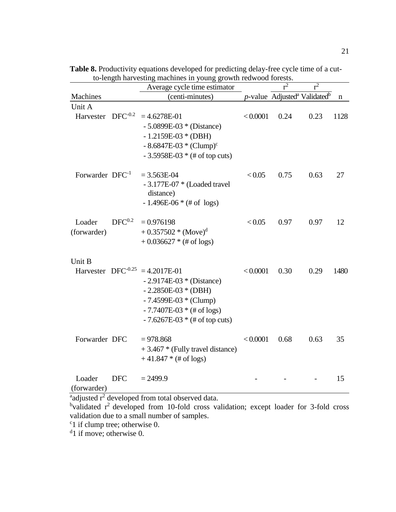|                      |              | to-length narvesting machines in young growth redwood forests.<br>Average cycle time estimator |          | $r^2$ | $r^2$                                                   |      |
|----------------------|--------------|------------------------------------------------------------------------------------------------|----------|-------|---------------------------------------------------------|------|
| Machines             |              | (centi-minutes)                                                                                |          |       | $p$ -value Adjusted <sup>a</sup> Validated <sup>b</sup> | n    |
| Unit A               |              |                                                                                                |          |       |                                                         |      |
| Harvester            | $DFC^{-0.2}$ | $=4.6278E-01$                                                                                  | < 0.0001 | 0.24  | 0.23                                                    | 1128 |
|                      |              | $-5.0899E-03$ * (Distance)                                                                     |          |       |                                                         |      |
|                      |              | $-1.2159E-03*(DBH)$                                                                            |          |       |                                                         |      |
|                      |              | $-8.6847E-03*(Clump)^{c}$                                                                      |          |       |                                                         |      |
|                      |              | $-3.5958E-03$ * (# of top cuts)                                                                |          |       |                                                         |      |
| Forwarder $DFC^{-1}$ |              | $= 3.563E-04$                                                                                  | < 0.05   | 0.75  | 0.63                                                    | 27   |
|                      |              | $-3.177E-07$ * (Loaded travel                                                                  |          |       |                                                         |      |
|                      |              | distance)                                                                                      |          |       |                                                         |      |
|                      |              | $-1.496E-06*(\# of logs)$                                                                      |          |       |                                                         |      |
| Loader               | $DFC^{0.2}$  | $= 0.976198$                                                                                   | < 0.05   | 0.97  | 0.97                                                    | 12   |
| (forwarder)          |              | $+0.357502 * (Move)^{d}$                                                                       |          |       |                                                         |      |
|                      |              | $+0.036627$ * (# of logs)                                                                      |          |       |                                                         |      |
|                      |              |                                                                                                |          |       |                                                         |      |
| Unit B               |              |                                                                                                |          |       |                                                         |      |
|                      |              | Harvester $DFC^{-0.25} = 4.2017E-01$                                                           | < 0.0001 | 0.30  | 0.29                                                    | 1480 |
|                      |              | $-2.9174E-03 * (Distance)$                                                                     |          |       |                                                         |      |
|                      |              | $-2.2850E-03*(DBH)$                                                                            |          |       |                                                         |      |
|                      |              | $-7.4599E-03 * (Clump)$                                                                        |          |       |                                                         |      |
|                      |              | $-7.7407E-03*(\# of logs)$                                                                     |          |       |                                                         |      |
|                      |              | $-7.6267E-03$ * (# of top cuts)                                                                |          |       |                                                         |      |
| Forwarder DFC        |              | $= 978.868$                                                                                    | < 0.0001 | 0.68  | 0.63                                                    | 35   |
|                      |              | $+3.467$ * (Fully travel distance)                                                             |          |       |                                                         |      |
|                      |              | $+41.847*(\text{\# of logs})$                                                                  |          |       |                                                         |      |
| Loader               | <b>DFC</b>   | $= 2499.9$                                                                                     |          |       |                                                         | 15   |
| (forwarder)          |              |                                                                                                |          |       |                                                         |      |
|                      |              |                                                                                                |          |       |                                                         |      |

<span id="page-29-0"></span>**Table 8.** Productivity equations developed for predicting delay-free cycle time of a cutto-length harvesting machines in young growth redwood forests.

<sup>a</sup>adjusted r<sup>2</sup> developed from total observed data.

 $b$ validated  $r^2$  developed from 10-fold cross validation; except loader for 3-fold cross validation due to a small number of samples.

<sup>c</sup>1 if clump tree; otherwise 0.

<sup>d</sup>1 if move; otherwise 0.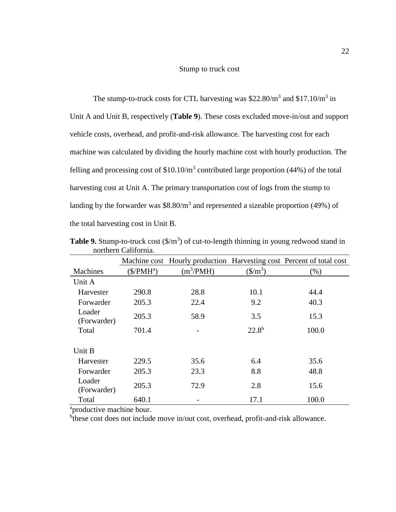#### Stump to truck cost

<span id="page-30-0"></span>The stump-to-truck costs for CTL harvesting was  $$22.80/m<sup>3</sup>$  and  $$17.10/m<sup>3</sup>$  in Unit A and Unit B, respectively (**[Table 9](#page-30-1)**). These costs excluded move-in/out and support vehicle costs, overhead, and profit-and-risk allowance. The harvesting cost for each machine was calculated by dividing the hourly machine cost with hourly production. The felling and processing cost of  $$10.10/m<sup>3</sup>$  contributed large proportion (44%) of the total harvesting cost at Unit A. The primary transportation cost of logs from the stump to landing by the forwarder was  $$8.80/m<sup>3</sup>$  and represented a sizeable proportion (49%) of the total harvesting cost in Unit B.

|                       |             |             |                                 | Machine cost Hourly production Harvesting cost Percent of total cost |  |  |  |
|-----------------------|-------------|-------------|---------------------------------|----------------------------------------------------------------------|--|--|--|
| Machines              | $(S/PMH^a)$ | $(m^3/PMH)$ | $(\frac{\text{S}}{\text{m}^3})$ | (%)                                                                  |  |  |  |
| Unit A                |             |             |                                 |                                                                      |  |  |  |
| Harvester             | 290.8       | 28.8        | 10.1                            | 44.4                                                                 |  |  |  |
| Forwarder             | 205.3       | 22.4        | 9.2                             | 40.3                                                                 |  |  |  |
| Loader<br>(Forwarder) | 205.3       | 58.9        | 3.5                             | 15.3                                                                 |  |  |  |
| Total                 | 701.4       |             | $22.8^{b}$                      | 100.0                                                                |  |  |  |
| Unit B                |             |             |                                 |                                                                      |  |  |  |
| Harvester             | 229.5       | 35.6        | 6.4                             | 35.6                                                                 |  |  |  |
| Forwarder             | 205.3       | 23.3        | 8.8                             | 48.8                                                                 |  |  |  |
| Loader<br>(Forwarder) | 205.3       | 72.9        | 2.8                             | 15.6                                                                 |  |  |  |
| Total                 | 640.1       |             | 17.1                            | 100.0                                                                |  |  |  |

<span id="page-30-1"></span>**Table 9.** Stump-to-truck cost  $(\frac{C}{m^3})$  of cut-to-length thinning in young redwood stand in northern California.

<sup>a</sup>productive machine hour.

<sup>b</sup>these cost does not include move in/out cost, overhead, profit-and-risk allowance.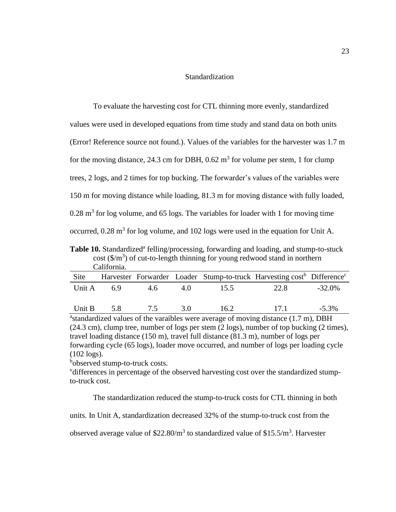#### **Standardization**

<span id="page-31-0"></span>

| To evaluate the harvesting cost for CTL thinning more evenly, standardized                         |
|----------------------------------------------------------------------------------------------------|
| values were used in developed equations from time study and stand data on both units               |
| (Error! Reference source not found.). Values of the variables for the harvester was 1.7 m          |
| for the moving distance, 24.3 cm for DBH, $0.62 \text{ m}^3$ for volume per stem, 1 for clump      |
| trees, 2 logs, and 2 times for top bucking. The forwarder's values of the variables were           |
| 150 m for moving distance while loading, 81.3 m for moving distance with fully loaded,             |
| $0.28$ m <sup>3</sup> for log volume, and 65 logs. The variables for loader with 1 for moving time |
| occurred, $0.28$ m <sup>3</sup> for log volume, and 102 logs were used in the equation for Unit A. |

<span id="page-31-1"></span>Table 10. Standardized<sup>a</sup> felling/processing, forwarding and loading, and stump-to-stuck cost  $(\frac{\pi}{3})$  of cut-to-length thinning for young redwood stand in northern California.

| Site   |     |     |     |      | Harvester Forwarder Loader Stump-to-truck Harvesting cost <sup>b</sup> Difference <sup>c</sup> |          |
|--------|-----|-----|-----|------|------------------------------------------------------------------------------------------------|----------|
| Unit A | 6.9 | 4.6 | 40  | 15.5 | 22.8                                                                                           | -32.0%   |
| Unit B | 5.8 | 75  | 3.O | 16.2 | $-171$                                                                                         | $-5.3\%$ |

<sup>a</sup>standardized values of the varaibles were average of moving distance (1.7 m), DBH (24.3 cm), clump tree, number of logs per stem (2 logs), number of top bucking (2 times), travel loading distance (150 m), travel full distance (81.3 m), number of logs per forwarding cycle (65 logs), loader move occurred, and number of logs per loading cycle (102 logs).

bobserved stump-to-truck costs.

<sup>v</sup>differences in percentage of the observed harvesting cost over the standardized stumpto-truck cost.

The standardization reduced the stump-to-truck costs for CTL thinning in both

units. In Unit A, standardization decreased 32% of the stump-to-truck cost from the

observed average value of \$22.80/ $m^3$  to standardized value of \$15.5/ $m^3$ . Harvester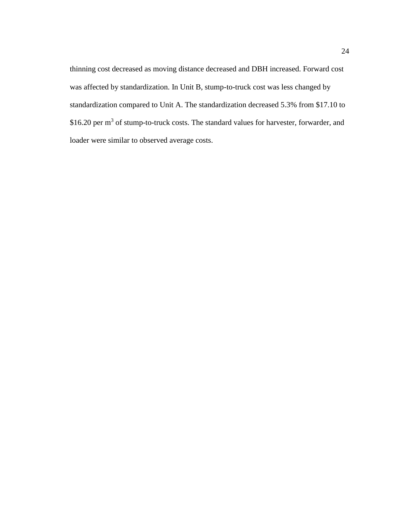thinning cost decreased as moving distance decreased and DBH increased. Forward cost was affected by standardization. In Unit B, stump-to-truck cost was less changed by standardization compared to Unit A. The standardization decreased 5.3% from \$17.10 to \$16.20 per m<sup>3</sup> of stump-to-truck costs. The standard values for harvester, forwarder, and loader were similar to observed average costs.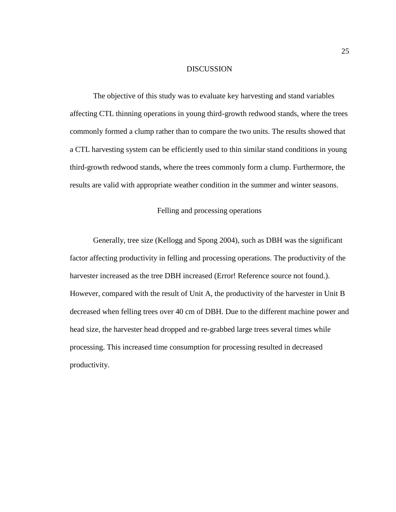# DISCUSSION

<span id="page-33-0"></span>The objective of this study was to evaluate key harvesting and stand variables affecting CTL thinning operations in young third-growth redwood stands, where the trees commonly formed a clump rather than to compare the two units. The results showed that a CTL harvesting system can be efficiently used to thin similar stand conditions in young third-growth redwood stands, where the trees commonly form a clump. Furthermore, the results are valid with appropriate weather condition in the summer and winter seasons.

# Felling and processing operations

<span id="page-33-1"></span>Generally, tree size (Kellogg and Spong 2004), such as DBH was the significant factor affecting productivity in felling and processing operations. The productivity of the harvester increased as the tree DBH increased (Error! Reference source not found.). However, compared with the result of Unit A, the productivity of the harvester in Unit B decreased when felling trees over 40 cm of DBH. Due to the different machine power and head size, the harvester head dropped and re-grabbed large trees several times while processing. This increased time consumption for processing resulted in decreased productivity.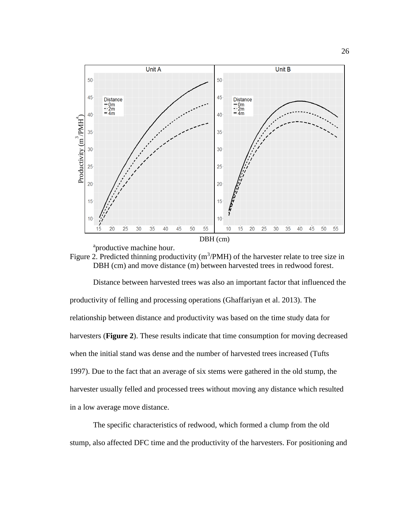

<span id="page-34-0"></span>

Distance between harvested trees was also an important factor that influenced the productivity of felling and processing operations (Ghaffariyan et al. 2013). The relationship between distance and productivity was based on the time study data for harvesters (**[Figure 2](#page-34-0)**). These results indicate that time consumption for moving decreased when the initial stand was dense and the number of harvested trees increased (Tufts 1997). Due to the fact that an average of six stems were gathered in the old stump, the harvester usually felled and processed trees without moving any distance which resulted in a low average move distance. studies and the productivity of  $\frac{3}{2}$ <br>
and the productive machine hour.<br>
The productive machine hour.<br>
Figure 2. Predicted thinning productivity (m<sup>3</sup>PMH) of the harvester relate to tree size in<br>
DBH (cm) and move dis

The specific characteristics of redwood, which formed a clump from the old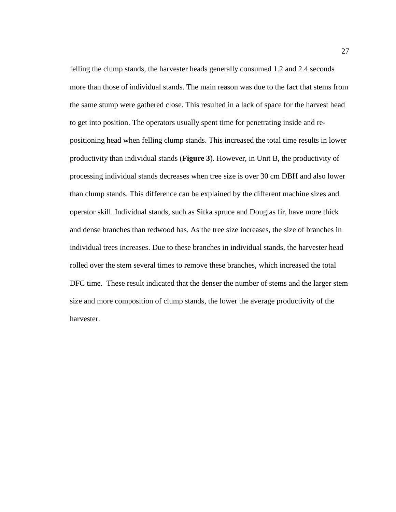felling the clump stands, the harvester heads generally consumed 1.2 and 2.4 seconds more than those of individual stands. The main reason was due to the fact that stems from the same stump were gathered close. This resulted in a lack of space for the harvest head to get into position. The operators usually spent time for penetrating inside and repositioning head when felling clump stands. This increased the total time results in lower productivity than individual stands (**[Figure 3](#page-36-0)**). However, in Unit B, the productivity of processing individual stands decreases when tree size is over 30 cm DBH and also lower than clump stands. This difference can be explained by the different machine sizes and operator skill. Individual stands, such as Sitka spruce and Douglas fir, have more thick and dense branches than redwood has. As the tree size increases, the size of branches in individual trees increases. Due to these branches in individual stands, the harvester head rolled over the stem several times to remove these branches, which increased the total DFC time. These result indicated that the denser the number of stems and the larger stem size and more composition of clump stands, the lower the average productivity of the harvester.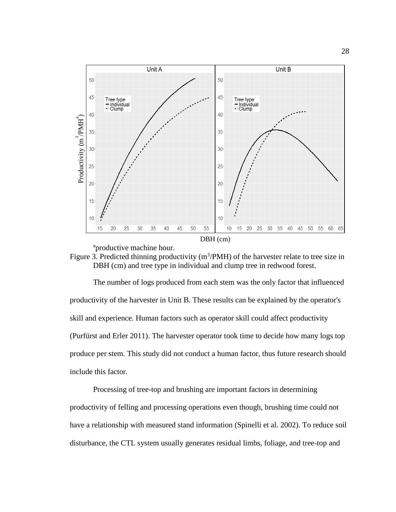

<sup>a</sup>productive machine hour.

<span id="page-36-0"></span>

The number of logs produced from each stem was the only factor that influenced productivity of the harvester in Unit B. These results can be explained by the operator's skill and experience. Human factors such as operator skill could affect productivity (Purfürst and Erler 2011). The harvester operator took time to decide how many logs top produce per stem. This study did not conduct a human factor, thus future research should include this factor.

Processing of tree-top and brushing are important factors in determining productivity of felling and processing operations even though, brushing time could not have a relationship with measured stand information (Spinelli et al. 2002). To reduce soil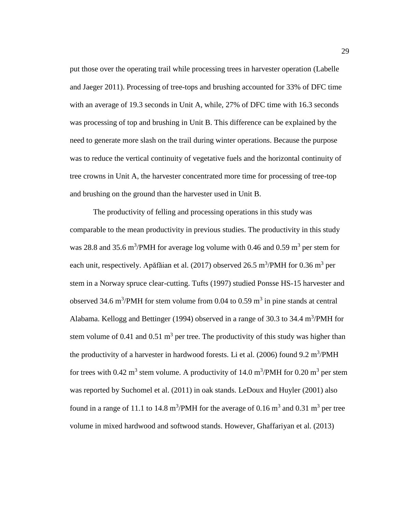put those over the operating trail while processing trees in harvester operation (Labelle and Jaeger 2011). Processing of tree-tops and brushing accounted for 33% of DFC time with an average of 19.3 seconds in Unit A, while, 27% of DFC time with 16.3 seconds was processing of top and brushing in Unit B. This difference can be explained by the need to generate more slash on the trail during winter operations. Because the purpose was to reduce the vertical continuity of vegetative fuels and the horizontal continuity of tree crowns in Unit A, the harvester concentrated more time for processing of tree-top and brushing on the ground than the harvester used in Unit B.

The productivity of felling and processing operations in this study was comparable to the mean productivity in previous studies. The productivity in this study was 28.8 and 35.6 m<sup>3</sup>/PMH for average log volume with 0.46 and 0.59 m<sup>3</sup> per stem for each unit, respectively. Apăfăian et al. (2017) observed 26.5 m<sup>3</sup>/PMH for 0.36 m<sup>3</sup> per stem in a Norway spruce clear-cutting. Tufts (1997) studied Ponsse HS-15 harvester and observed 34.6 m<sup>3</sup>/PMH for stem volume from 0.04 to 0.59 m<sup>3</sup> in pine stands at central Alabama. Kellogg and Bettinger (1994) observed in a range of 30.3 to 34.4  $\text{m}^3/\text{PMH}$  for stem volume of 0.41 and 0.51  $m<sup>3</sup>$  per tree. The productivity of this study was higher than the productivity of a harvester in hardwood forests. Li et al.  $(2006)$  found 9.2 m<sup>3</sup>/PMH for trees with 0.42 m<sup>3</sup> stem volume. A productivity of 14.0 m<sup>3</sup>/PMH for 0.20 m<sup>3</sup> per stem was reported by Suchomel et al. (2011) in oak stands. LeDoux and Huyler (2001) also found in a range of 11.1 to 14.8 m<sup>3</sup>/PMH for the average of 0.16 m<sup>3</sup> and 0.31 m<sup>3</sup> per tree volume in mixed hardwood and softwood stands. However, Ghaffariyan et al. (2013)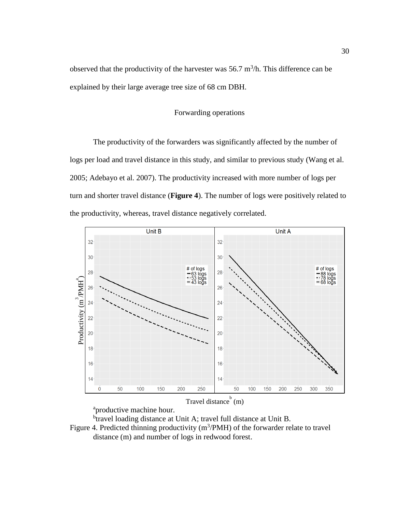<span id="page-38-0"></span>observed that the productivity of the harvester was  $56.7 \text{ m}^3/\text{h}$ . This difference can be explained by their large average tree size of 68 cm DBH.

# Forwarding operations

The productivity of the forwarders was significantly affected by the number of logs per load and travel distance in this study, and similar to previous study (Wang et al. 2005; Adebayo et al. 2007). The productivity increased with more number of logs per turn and shorter travel distance (**[Figure 4](#page-38-1)**). The number of logs were positively related to the productivity, whereas, travel distance negatively correlated.



<sup>a</sup>productive machine hour.

<span id="page-38-1"></span><sup>b</sup>travel loading distance at Unit A; travel full distance at Unit B. Figure 4. Predicted thinning productivity  $(m^3/PMH)$  of the forwarder relate to travel distance (m) and number of logs in redwood forest.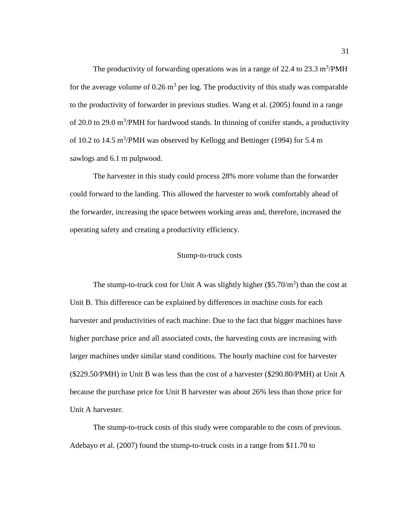The productivity of forwarding operations was in a range of 22.4 to 23.3  $\text{m}^3/\text{PMH}$ for the average volume of  $0.26 \text{ m}^3$  per log. The productivity of this study was comparable to the productivity of forwarder in previous studies. Wang et al. (2005) found in a range of 20.0 to 29.0 m<sup>3</sup>/PMH for hardwood stands. In thinning of conifer stands, a productivity of 10.2 to 14.5  $\text{m}^3/\text{PMH}$  was observed by Kellogg and Bettinger (1994) for 5.4 m sawlogs and 6.1 m pulpwood.

The harvester in this study could process 28% more volume than the forwarder could forward to the landing. This allowed the harvester to work comfortably ahead of the forwarder, increasing the space between working areas and, therefore, increased the operating safety and creating a productivity efficiency.

## Stump-to-truck costs

<span id="page-39-0"></span>The stump-to-truck cost for Unit A was slightly higher  $(\$5.70/m^3)$  than the cost at Unit B. This difference can be explained by differences in machine costs for each harvester and productivities of each machine. Due to the fact that bigger machines have higher purchase price and all associated costs, the harvesting costs are increasing with larger machines under similar stand conditions. The hourly machine cost for harvester (\$229.50/PMH) in Unit B was less than the cost of a harvester (\$290.80/PMH) at Unit A because the purchase price for Unit B harvester was about 26% less than those price for Unit A harvester.

The stump-to-truck costs of this study were comparable to the costs of previous. Adebayo et al. (2007) found the stump-to-truck costs in a range from \$11.70 to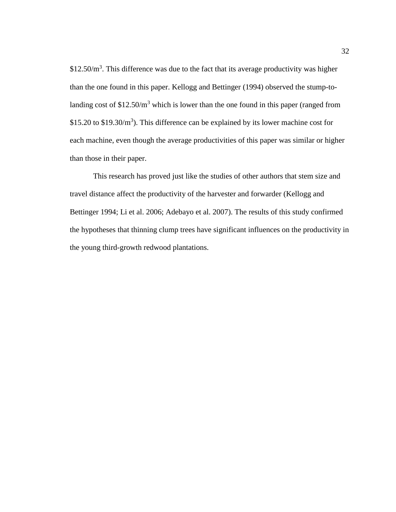$$12.50/m<sup>3</sup>$ . This difference was due to the fact that its average productivity was higher than the one found in this paper. Kellogg and Bettinger (1994) observed the stump-tolanding cost of  $$12.50/m<sup>3</sup>$  which is lower than the one found in this paper (ranged from \$15.20 to \$19.30/ $m<sup>3</sup>$ ). This difference can be explained by its lower machine cost for each machine, even though the average productivities of this paper was similar or higher than those in their paper.

This research has proved just like the studies of other authors that stem size and travel distance affect the productivity of the harvester and forwarder (Kellogg and Bettinger 1994; Li et al. 2006; Adebayo et al. 2007). The results of this study confirmed the hypotheses that thinning clump trees have significant influences on the productivity in the young third-growth redwood plantations.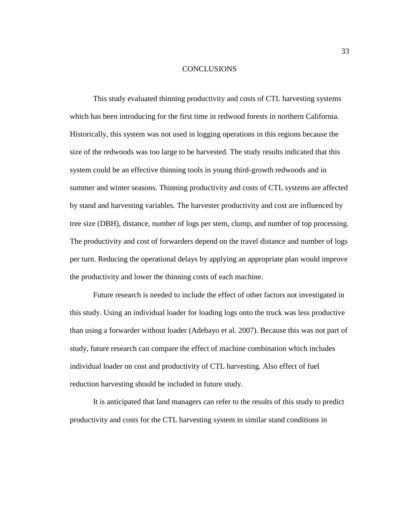## **CONCLUSIONS**

<span id="page-41-0"></span>This study evaluated thinning productivity and costs of CTL harvesting systems which has been introducing for the first time in redwood forests in northern California. Historically, this system was not used in logging operations in this regions because the size of the redwoods was too large to be harvested. The study results indicated that this system could be an effective thinning tools in young third-growth redwoods and in summer and winter seasons. Thinning productivity and costs of CTL systems are affected by stand and harvesting variables. The harvester productivity and cost are influenced by tree size (DBH), distance, number of logs per stem, clump, and number of top processing. The productivity and cost of forwarders depend on the travel distance and number of logs per turn. Reducing the operational delays by applying an appropriate plan would improve the productivity and lower the thinning costs of each machine.

Future research is needed to include the effect of other factors not investigated in this study. Using an individual loader for loading logs onto the truck was less productive than using a forwarder without loader (Adebayo et al. 2007). Because this was not part of study, future research can compare the effect of machine combination which includes individual loader on cost and productivity of CTL harvesting. Also effect of fuel reduction harvesting should be included in future study.

It is anticipated that land managers can refer to the results of this study to predict productivity and costs for the CTL harvesting system in similar stand conditions in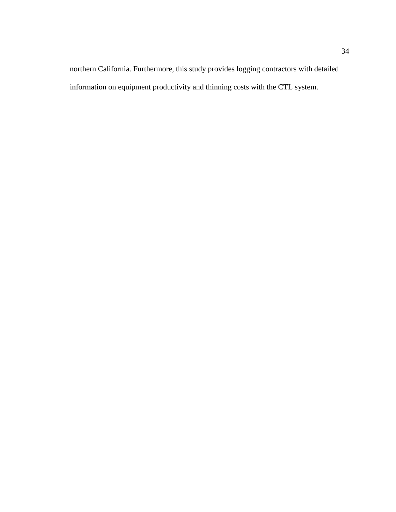northern California. Furthermore, this study provides logging contractors with detailed information on equipment productivity and thinning costs with the CTL system.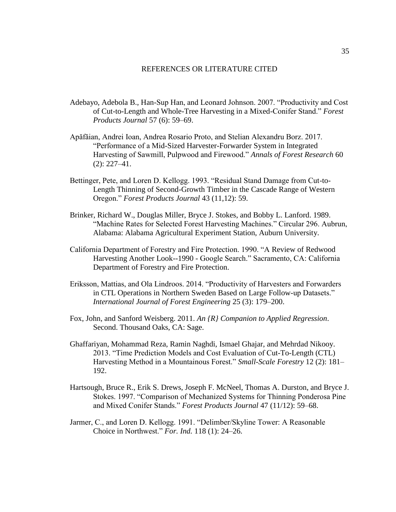#### REFERENCES OR LITERATURE CITED

- <span id="page-43-0"></span>Adebayo, Adebola B., Han-Sup Han, and Leonard Johnson. 2007. "Productivity and Cost of Cut-to-Length and Whole-Tree Harvesting in a Mixed-Conifer Stand." *Forest Products Journal* 57 (6): 59–69.
- Apăfăian, Andrei Ioan, Andrea Rosario Proto, and Stelian Alexandru Borz. 2017. "Performance of a Mid-Sized Harvester-Forwarder System in Integrated Harvesting of Sawmill, Pulpwood and Firewood." *Annals of Forest Research* 60 (2): 227–41.
- Bettinger, Pete, and Loren D. Kellogg. 1993. "Residual Stand Damage from Cut-to-Length Thinning of Second-Growth Timber in the Cascade Range of Western Oregon." *Forest Products Journal* 43 (11,12): 59.
- Brinker, Richard W., Douglas Miller, Bryce J. Stokes, and Bobby L. Lanford. 1989. "Machine Rates for Selected Forest Harvesting Machines." Circular 296. Aubrun, Alabama: Alabama Agricultural Experiment Station, Auburn University.
- California Department of Forestry and Fire Protection. 1990. "A Review of Redwood Harvesting Another Look--1990 - Google Search." Sacramento, CA: California Department of Forestry and Fire Protection.
- Eriksson, Mattias, and Ola Lindroos. 2014. "Productivity of Harvesters and Forwarders in CTL Operations in Northern Sweden Based on Large Follow-up Datasets." *International Journal of Forest Engineering* 25 (3): 179–200.
- Fox, John, and Sanford Weisberg. 2011. *An {R} Companion to Applied Regression*. Second. Thousand Oaks, CA: Sage.
- Ghaffariyan, Mohammad Reza, Ramin Naghdi, Ismael Ghajar, and Mehrdad Nikooy. 2013. "Time Prediction Models and Cost Evaluation of Cut-To-Length (CTL) Harvesting Method in a Mountainous Forest." *Small-Scale Forestry* 12 (2): 181– 192.
- Hartsough, Bruce R., Erik S. Drews, Joseph F. McNeel, Thomas A. Durston, and Bryce J. Stokes. 1997. "Comparison of Mechanized Systems for Thinning Ponderosa Pine and Mixed Conifer Stands." *Forest Products Journal* 47 (11/12): 59–68.
- Jarmer, C., and Loren D. Kellogg. 1991. "Delimber/Skyline Tower: A Reasonable Choice in Northwest." *For. Ind.* 118 (1): 24–26.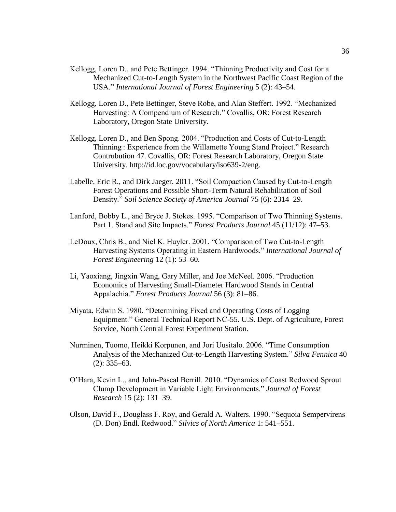- Kellogg, Loren D., and Pete Bettinger. 1994. "Thinning Productivity and Cost for a Mechanized Cut-to-Length System in the Northwest Pacific Coast Region of the USA." *International Journal of Forest Engineering* 5 (2): 43–54.
- Kellogg, Loren D., Pete Bettinger, Steve Robe, and Alan Steffert. 1992. "Mechanized Harvesting: A Compendium of Research." Covallis, OR: Forest Research Laboratory, Oregon State University.
- Kellogg, Loren D., and Ben Spong. 2004. "Production and Costs of Cut-to-Length Thinning : Experience from the Willamette Young Stand Project." Research Contrubution 47. Covallis, OR: Forest Research Laboratory, Oregon State University. http://id.loc.gov/vocabulary/iso639-2/eng.
- Labelle, Eric R., and Dirk Jaeger. 2011. "Soil Compaction Caused by Cut-to-Length Forest Operations and Possible Short-Term Natural Rehabilitation of Soil Density." *Soil Science Society of America Journal* 75 (6): 2314–29.
- Lanford, Bobby L., and Bryce J. Stokes. 1995. "Comparison of Two Thinning Systems. Part 1. Stand and Site Impacts." *Forest Products Journal* 45 (11/12): 47–53.
- LeDoux, Chris B., and Niel K. Huyler. 2001. "Comparison of Two Cut-to-Length Harvesting Systems Operating in Eastern Hardwoods." *International Journal of Forest Engineering* 12 (1): 53–60.
- Li, Yaoxiang, Jingxin Wang, Gary Miller, and Joe McNeel. 2006. "Production Economics of Harvesting Small-Diameter Hardwood Stands in Central Appalachia." *Forest Products Journal* 56 (3): 81–86.
- Miyata, Edwin S. 1980. "Determining Fixed and Operating Costs of Logging Equipment." General Technical Report NC-55. U.S. Dept. of Agriculture, Forest Service, North Central Forest Experiment Station.
- Nurminen, Tuomo, Heikki Korpunen, and Jori Uusitalo. 2006. "Time Consumption Analysis of the Mechanized Cut-to-Length Harvesting System." *Silva Fennica* 40 (2): 335–63.
- O'Hara, Kevin L., and John-Pascal Berrill. 2010. "Dynamics of Coast Redwood Sprout Clump Development in Variable Light Environments." *Journal of Forest Research* 15 (2): 131–39.
- Olson, David F., Douglass F. Roy, and Gerald A. Walters. 1990. "Sequoia Sempervirens (D. Don) Endl. Redwood." *Silvics of North America* 1: 541–551.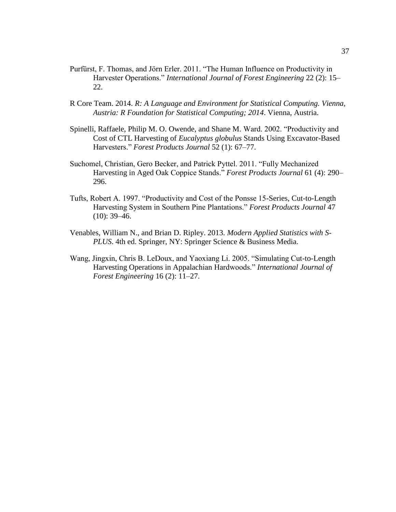- Purfürst, F. Thomas, and Jörn Erler. 2011. "The Human Influence on Productivity in Harvester Operations." *International Journal of Forest Engineering* 22 (2): 15– 22.
- R Core Team. 2014. *R: A Language and Environment for Statistical Computing. Vienna, Austria: R Foundation for Statistical Computing; 2014*. Vienna, Austria.
- Spinelli, Raffaele, Philip M. O. Owende, and Shane M. Ward. 2002. "Productivity and Cost of CTL Harvesting of *Eucalyptus globulus* Stands Using Excavator-Based Harvesters." *Forest Products Journal* 52 (1): 67–77.
- Suchomel, Christian, Gero Becker, and Patrick Pyttel. 2011. "Fully Mechanized Harvesting in Aged Oak Coppice Stands." *Forest Products Journal* 61 (4): 290– 296.
- Tufts, Robert A. 1997. "Productivity and Cost of the Ponsse 15-Series, Cut-to-Length Harvesting System in Southern Pine Plantations." *Forest Products Journal* 47  $(10): 39-46.$
- Venables, William N., and Brian D. Ripley. 2013. *Modern Applied Statistics with S-PLUS*. 4th ed. Springer, NY: Springer Science & Business Media.
- Wang, Jingxin, Chris B. LeDoux, and Yaoxiang Li. 2005. "Simulating Cut-to-Length Harvesting Operations in Appalachian Hardwoods." *International Journal of Forest Engineering* 16 (2): 11–27.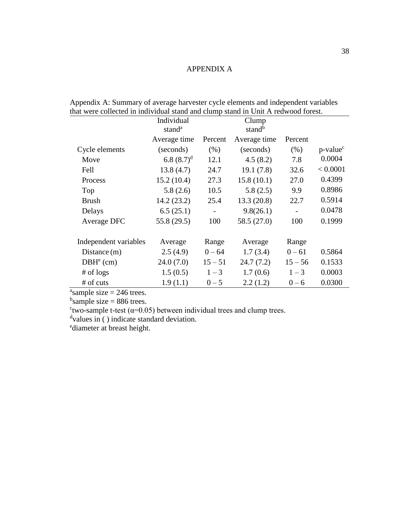# APPENDIX A

|                       | Individual         |                          | Clump              |           |                         |
|-----------------------|--------------------|--------------------------|--------------------|-----------|-------------------------|
|                       | stand <sup>a</sup> |                          | stand <sup>b</sup> |           |                         |
|                       | Average time       | Percent                  | Average time       | Percent   |                         |
| Cycle elements        | (seconds)          | (% )                     | (seconds)          | (% )      | $p$ -value <sup>c</sup> |
| Move                  | 6.8 $(8.7)^d$      | 12.1                     | 4.5(8.2)           | 7.8       | 0.0004                  |
| Fell                  | 13.8(4.7)          | 24.7                     | 19.1(7.8)          | 32.6      | < 0.0001                |
| Process               | 15.2(10.4)         | 27.3                     | 15.8(10.1)         | 27.0      | 0.4399                  |
| Top                   | 5.8(2.6)           | 10.5                     | 5.8(2.5)           | 9.9       | 0.8986                  |
| <b>Brush</b>          | 14.2(23.2)         | 25.4                     | 13.3(20.8)         | 22.7      | 0.5914                  |
| Delays                | 6.5(25.1)          | $\overline{\phantom{a}}$ | 9.8(26.1)          |           | 0.0478                  |
| Average DFC           | 55.8 (29.5)        | 100                      | 58.5 $(27.0)$      | 100       | 0.1999                  |
|                       |                    |                          |                    |           |                         |
| Independent variables | Average            | Range                    | Average            | Range     |                         |
| Distance $(m)$        | 2.5(4.9)           | $0 - 64$                 | 1.7(3.4)           | $0 - 61$  | 0.5864                  |
| $DBHe$ (cm)           | 24.0(7.0)          | $15 - 51$                | 24.7(7.2)          | $15 - 56$ | 0.1533                  |
| $#$ of logs           | 1.5(0.5)           | $1 - 3$                  | 1.7(0.6)           | $1 - 3$   | 0.0003                  |
| # of cuts             | 1.9(1.1)           | $0 - 5$                  | 2.2(1.2)           | $0 - 6$   | 0.0300                  |

<span id="page-46-1"></span><span id="page-46-0"></span>Appendix A: Summary of average harvester cycle elements and independent variables that were collected in individual stand and clump stand in Unit A redwood forest.

<sup>a</sup>sample size = 246 trees.

 $<sup>b</sup>$ sample size = 886 trees.</sup>

 $\text{``two-sample}$  t-test ( $\alpha$ =0.05) between individual trees and clump trees.

dvalues in () indicate standard deviation.

<sup>e</sup>diameter at breast height.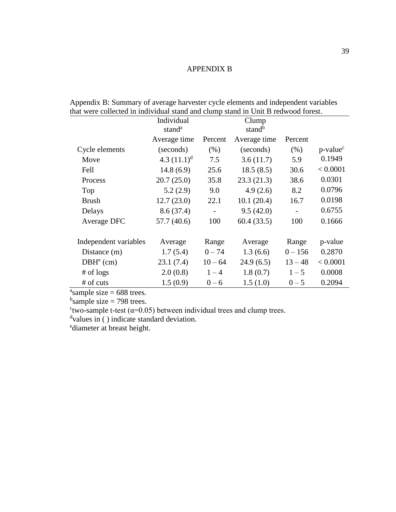# APPENDIX B

|                          | Individual         |                          | Clump              |           |                         |
|--------------------------|--------------------|--------------------------|--------------------|-----------|-------------------------|
|                          | stand <sup>a</sup> |                          | stand <sup>b</sup> |           |                         |
|                          | Average time       | Percent                  | Average time       | Percent   |                         |
| Cycle elements           | (seconds)          | (% )                     | (seconds)          | (% )      | $p$ -value <sup>c</sup> |
| Move                     | 4.3 $(11.1)^d$     | 7.5                      | 3.6(11.7)          | 5.9       | 0.1949                  |
| Fell                     | 14.8(6.9)          | 25.6                     | 18.5(8.5)          | 30.6      | < 0.0001                |
| Process                  | 20.7(25.0)         | 35.8                     | 23.3(21.3)         | 38.6      | 0.0301                  |
| Top                      | 5.2(2.9)           | 9.0                      | 4.9(2.6)           | 8.2       | 0.0796                  |
| <b>Brush</b>             | 12.7(23.0)         | 22.1                     | 10.1(20.4)         | 16.7      | 0.0198                  |
| Delays                   | 8.6(37.4)          | $\overline{\phantom{a}}$ | 9.5(42.0)          |           | 0.6755                  |
| Average DFC              | 57.7 (40.6)        | 100                      | 60.4(33.5)         | 100       | 0.1666                  |
|                          |                    |                          |                    |           |                         |
| Independent variables    | Average            | Range                    | Average            | Range     | p-value                 |
| Distance (m)             | 1.7(5.4)           | $0 - 74$                 | 1.3(6.6)           | $0 - 156$ | 0.2870                  |
| 23.1(7.4)<br>$DBHe$ (cm) |                    | $10 - 64$                | 24.9(6.5)          | $13 - 48$ | < 0.0001                |
| $#$ of logs              | 2.0(0.8)           | $1 - 4$                  | 1.8(0.7)           | $1 - 5$   | 0.0008                  |
| # of cuts                | 1.5(0.9)           | $0 - 6$                  | 1.5(1.0)           | $0 - 5$   | 0.2094                  |

<span id="page-47-1"></span><span id="page-47-0"></span>Appendix B: Summary of average harvester cycle elements and independent variables that were collected in individual stand and clump stand in Unit B redwood forest.

 $a<sub>s</sub>$  ample size = 688 trees.

 $<sup>b</sup>$ sample size = 798 trees.</sup>

 $\text{``two-sample}$  t-test ( $\alpha$ =0.05) between individual trees and clump trees.

dvalues in () indicate standard deviation.

<sup>e</sup>diameter at breast height.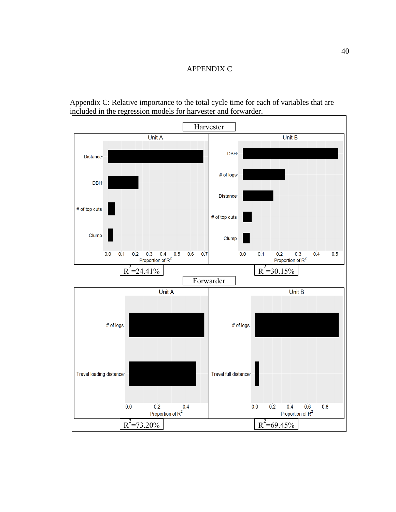# APPENDIX C

<span id="page-48-1"></span><span id="page-48-0"></span>Appendix C: Relative importance to the total cycle time for each of variables that are included in the regression models for harvester and forwarder.